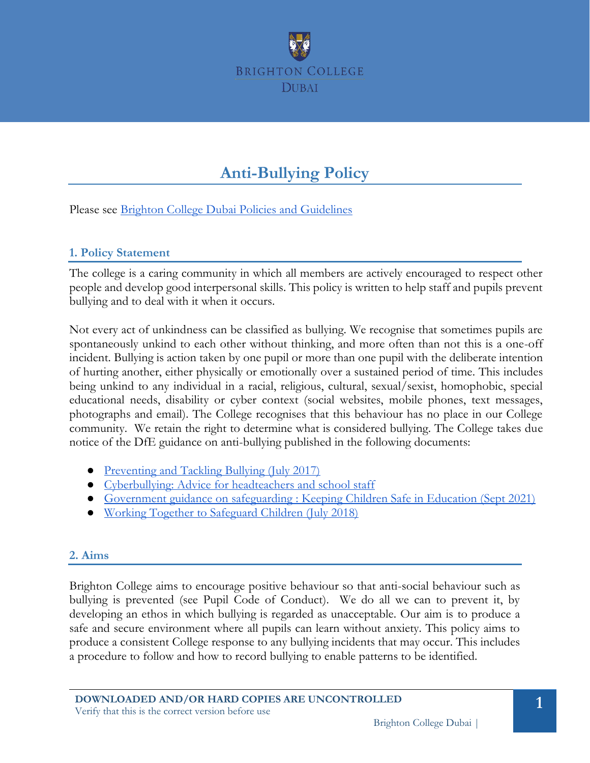

# **Anti-Bullying Policy**

Please see [Brighton College Dubai Policies and Guidelines](#page-5-0)

#### **1. Policy Statement**

The college is a caring community in which all members are actively encouraged to respect other people and develop good interpersonal skills. This policy is written to help staff and pupils prevent bullying and to deal with it when it occurs.

Not every act of unkindness can be classified as bullying. We recognise that sometimes pupils are spontaneously unkind to each other without thinking, and more often than not this is a one-off incident. Bullying is action taken by one pupil or more than one pupil with the deliberate intention of hurting another, either physically or emotionally over a sustained period of time. This includes being unkind to any individual in a racial, religious, cultural, sexual/sexist, homophobic, special educational needs, disability or cyber context (social websites, mobile phones, text messages, photographs and email). The College recognises that this behaviour has no place in our College community. We retain the right to determine what is considered bullying. The College takes due notice of the DfE guidance on anti-bullying published in the following documents:

- [Preventing and Tackling Bullying \(July 2017\)](https://assets.publishing.service.gov.uk/government/uploads/system/uploads/attachment_data/file/623895/Preventing_and_tackling_bullying_advice.pdf)
- [Cyberbullying: Advice for headteachers and school staff](https://assets.publishing.service.gov.uk/government/uploads/system/uploads/attachment_data/file/374850/Cyberbullying_Advice_for_Headteachers_and_School_Staff_121114.pdf)
- [Government guidance on safeguarding](https://assets.publishing.service.gov.uk/government/uploads/system/uploads/attachment_data/file/550511/Keeping_children_safe_in_education.pdf) [: Keeping Children Safe in Education \(Sept 2021\)](https://assets.publishing.service.gov.uk/government/uploads/system/uploads/attachment_data/file/1020050/KCSIE_2021_September_guidance.pdf)
- [Working Together to Safeguard Children \(July 2018\)](https://assets.publishing.service.gov.uk/government/uploads/system/uploads/attachment_data/file/722305/Working_Together_to_Safeguard_Children_-_Guide.pdf)

### **2. Aims**

Brighton College aims to encourage positive behaviour so that anti-social behaviour such as bullying is prevented (see Pupil Code of Conduct). We do all we can to prevent it, by developing an ethos in which bullying is regarded as unacceptable. Our aim is to produce a safe and secure environment where all pupils can learn without anxiety. This policy aims to produce a consistent College response to any bullying incidents that may occur. This includes a procedure to follow and how to record bullying to enable patterns to be identified.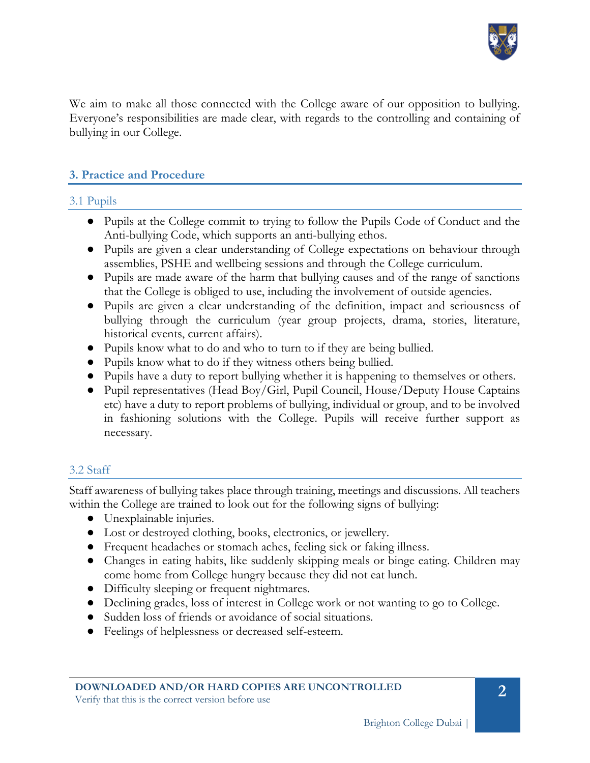

We aim to make all those connected with the College aware of our opposition to bullying. Everyone's responsibilities are made clear, with regards to the controlling and containing of bullying in our College.

## **3. Practice and Procedure**

#### 3.1 Pupils

- Pupils at the College commit to trying to follow the Pupils Code of Conduct and the Anti-bullying Code, which supports an anti-bullying ethos.
- Pupils are given a clear understanding of College expectations on behaviour through assemblies, PSHE and wellbeing sessions and through the College curriculum.
- Pupils are made aware of the harm that bullying causes and of the range of sanctions that the College is obliged to use, including the involvement of outside agencies.
- Pupils are given a clear understanding of the definition, impact and seriousness of bullying through the curriculum (year group projects, drama, stories, literature, historical events, current affairs).
- Pupils know what to do and who to turn to if they are being bullied.
- Pupils know what to do if they witness others being bullied.
- Pupils have a duty to report bullying whether it is happening to themselves or others.
- Pupil representatives (Head Boy/Girl, Pupil Council, House/Deputy House Captains etc) have a duty to report problems of bullying, individual or group, and to be involved in fashioning solutions with the College. Pupils will receive further support as necessary.

## 3.2 Staff

Staff awareness of bullying takes place through training, meetings and discussions. All teachers within the College are trained to look out for the following signs of bullying:

- Unexplainable injuries.
- Lost or destroyed clothing, books, electronics, or jewellery.
- Frequent headaches or stomach aches, feeling sick or faking illness.
- Changes in eating habits, like suddenly skipping meals or binge eating. Children may come home from College hungry because they did not eat lunch.
- Difficulty sleeping or frequent nightmares.
- Declining grades, loss of interest in College work or not wanting to go to College.
- Sudden loss of friends or avoidance of social situations.
- Feelings of helplessness or decreased self-esteem.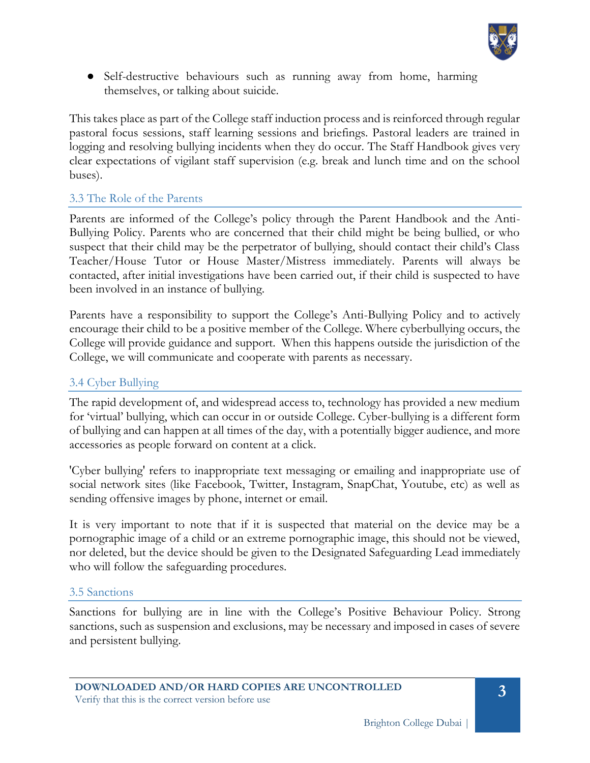

• Self-destructive behaviours such as running away from home, harming themselves, or talking about suicide.

This takes place as part of the College staff induction process and is reinforced through regular pastoral focus sessions, staff learning sessions and briefings. Pastoral leaders are trained in logging and resolving bullying incidents when they do occur. The Staff Handbook gives very clear expectations of vigilant staff supervision (e.g. break and lunch time and on the school buses).

## 3.3 The Role of the Parents

Parents are informed of the College's policy through the Parent Handbook and the Anti-Bullying Policy. Parents who are concerned that their child might be being bullied, or who suspect that their child may be the perpetrator of bullying, should contact their child's Class Teacher/House Tutor or House Master/Mistress immediately. Parents will always be contacted, after initial investigations have been carried out, if their child is suspected to have been involved in an instance of bullying.

Parents have a responsibility to support the College's Anti-Bullying Policy and to actively encourage their child to be a positive member of the College. Where cyberbullying occurs, the College will provide guidance and support. When this happens outside the jurisdiction of the College, we will communicate and cooperate with parents as necessary.

## 3.4 Cyber Bullying

The rapid development of, and widespread access to, technology has provided a new medium for 'virtual' bullying, which can occur in or outside College. Cyber-bullying is a different form of bullying and can happen at all times of the day, with a potentially bigger audience, and more accessories as people forward on content at a click.

'Cyber bullying' refers to inappropriate text messaging or emailing and inappropriate use of social network sites (like Facebook, Twitter, Instagram, SnapChat, Youtube, etc) as well as sending offensive images by phone, internet or email.

It is very important to note that if it is suspected that material on the device may be a pornographic image of a child or an extreme pornographic image, this should not be viewed, nor deleted, but the device should be given to the Designated Safeguarding Lead immediately who will follow the safeguarding procedures.

### 3.5 Sanctions

Sanctions for bullying are in line with the College's Positive Behaviour Policy. Strong sanctions, such as suspension and exclusions, may be necessary and imposed in cases of severe and persistent bullying.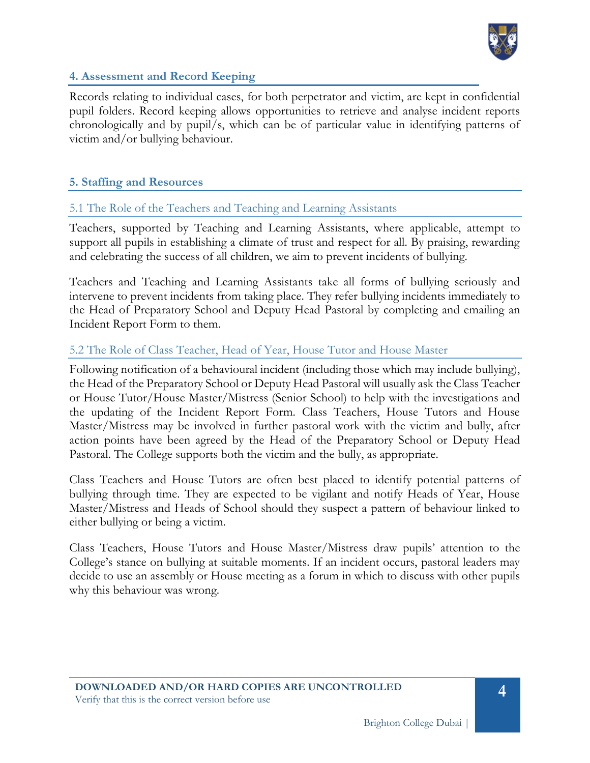

#### **4. Assessment and Record Keeping**

Records relating to individual cases, for both perpetrator and victim, are kept in confidential pupil folders. Record keeping allows opportunities to retrieve and analyse incident reports chronologically and by pupil/s, which can be of particular value in identifying patterns of victim and/or bullying behaviour.

#### **5. Staffing and Resources**

#### 5.1 The Role of the Teachers and Teaching and Learning Assistants

Teachers, supported by Teaching and Learning Assistants, where applicable, attempt to support all pupils in establishing a climate of trust and respect for all. By praising, rewarding and celebrating the success of all children, we aim to prevent incidents of bullying.

Teachers and Teaching and Learning Assistants take all forms of bullying seriously and intervene to prevent incidents from taking place. They refer bullying incidents immediately to the Head of Preparatory School and Deputy Head Pastoral by completing and emailing an Incident Report Form to them.

#### 5.2 The Role of Class Teacher, Head of Year, House Tutor and House Master

Following notification of a behavioural incident (including those which may include bullying), the Head of the Preparatory School or Deputy Head Pastoral will usually ask the Class Teacher or House Tutor/House Master/Mistress (Senior School) to help with the investigations and the updating of the Incident Report Form. Class Teachers, House Tutors and House Master/Mistress may be involved in further pastoral work with the victim and bully, after action points have been agreed by the Head of the Preparatory School or Deputy Head Pastoral. The College supports both the victim and the bully, as appropriate.

Class Teachers and House Tutors are often best placed to identify potential patterns of bullying through time. They are expected to be vigilant and notify Heads of Year, House Master/Mistress and Heads of School should they suspect a pattern of behaviour linked to either bullying or being a victim.

Class Teachers, House Tutors and House Master/Mistress draw pupils' attention to the College's stance on bullying at suitable moments. If an incident occurs, pastoral leaders may decide to use an assembly or House meeting as a forum in which to discuss with other pupils why this behaviour was wrong.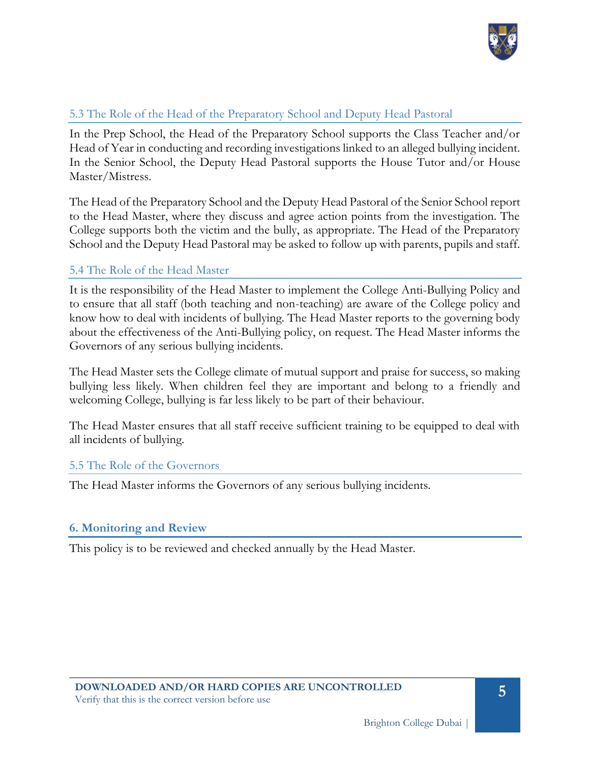

## 5.3 The Role of the Head of the Preparatory School and Deputy Head Pastoral

In the Prep School, the Head of the Preparatory School supports the Class Teacher and/or Head of Year in conducting and recording investigations linked to an alleged bullying incident. In the Senior School, the Deputy Head Pastoral supports the House Tutor and/or House Master/Mistress.

The Head of the Preparatory School and the Deputy Head Pastoral of the Senior School report to the Head Master, where they discuss and agree action points from the investigation. The College supports both the victim and the bully, as appropriate. The Head of the Preparatory School and the Deputy Head Pastoral may be asked to follow up with parents, pupils and staff.

### 5.4 The Role of the Head Master

It is the responsibility of the Head Master to implement the College Anti-Bullying Policy and to ensure that all staff (both teaching and non-teaching) are aware of the College policy and know how to deal with incidents of bullying. The Head Master reports to the governing body about the effectiveness of the Anti-Bullying policy, on request. The Head Master informs the Governors of any serious bullying incidents.

The Head Master sets the College climate of mutual support and praise for success, so making bullying less likely. When children feel they are important and belong to a friendly and welcoming College, bullying is far less likely to be part of their behaviour.

The Head Master ensures that all staff receive sufficient training to be equipped to deal with all incidents of bullying.

#### 5.5 The Role of the Governors

The Head Master informs the Governors of any serious bullying incidents.

#### **6. Monitoring and Review**

This policy is to be reviewed and checked annually by the Head Master.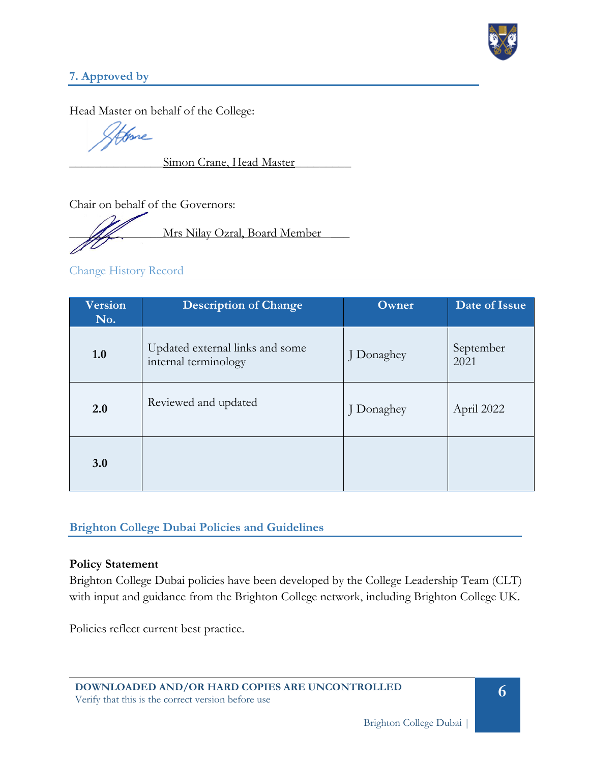

## **7. Approved by**

Head Master on behalf of the College:

fore

Simon Crane, Head Master

Chair on behalf of the Governors:

Mrs Nilay Ozral, Board Member

## Change History Record

| <b>Version</b><br>No. | <b>Description of Change</b>                            | Owner      | Date of Issue     |
|-----------------------|---------------------------------------------------------|------------|-------------------|
| 1.0                   | Updated external links and some<br>internal terminology | J Donaghey | September<br>2021 |
| 2.0                   | Reviewed and updated                                    | J Donaghey | April 2022        |
| 3.0                   |                                                         |            |                   |

## <span id="page-5-0"></span>**Brighton College Dubai Policies and Guidelines**

#### **Policy Statement**

Brighton College Dubai policies have been developed by the College Leadership Team (CLT) with input and guidance from the Brighton College network, including Brighton College UK.

Policies reflect current best practice.